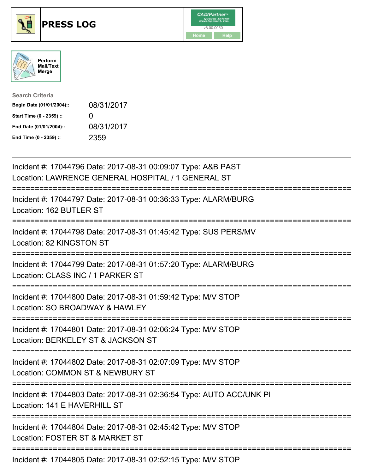





| <b>Search Criteria</b>    |            |
|---------------------------|------------|
| Begin Date (01/01/2004):: | 08/31/2017 |
| Start Time (0 - 2359) ::  | $\Omega$   |
| End Date (01/01/2004)::   | 08/31/2017 |
| End Time (0 - 2359) ::    | 2359       |

| Incident #: 17044796 Date: 2017-08-31 00:09:07 Type: A&B PAST<br>Location: LAWRENCE GENERAL HOSPITAL / 1 GENERAL ST             |
|---------------------------------------------------------------------------------------------------------------------------------|
| Incident #: 17044797 Date: 2017-08-31 00:36:33 Type: ALARM/BURG<br>Location: 162 BUTLER ST                                      |
| Incident #: 17044798 Date: 2017-08-31 01:45:42 Type: SUS PERS/MV<br>Location: 82 KINGSTON ST                                    |
| Incident #: 17044799 Date: 2017-08-31 01:57:20 Type: ALARM/BURG<br>Location: CLASS INC / 1 PARKER ST                            |
| Incident #: 17044800 Date: 2017-08-31 01:59:42 Type: M/V STOP<br>Location: SO BROADWAY & HAWLEY                                 |
| Incident #: 17044801 Date: 2017-08-31 02:06:24 Type: M/V STOP<br>Location: BERKELEY ST & JACKSON ST                             |
| Incident #: 17044802 Date: 2017-08-31 02:07:09 Type: M/V STOP<br>Location: COMMON ST & NEWBURY ST<br>========================== |
| Incident #: 17044803 Date: 2017-08-31 02:36:54 Type: AUTO ACC/UNK PI<br>Location: 141 E HAVERHILL ST                            |
| Incident #: 17044804 Date: 2017-08-31 02:45:42 Type: M/V STOP<br>Location: FOSTER ST & MARKET ST                                |
| Incident #: 17044805 Date: 2017-08-31 02:52:15 Type: M/V STOP                                                                   |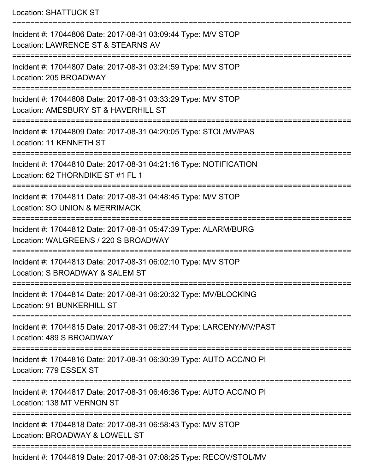Location: SHATTUCK ST

| Incident #: 17044806 Date: 2017-08-31 03:09:44 Type: M/V STOP<br>Location: LAWRENCE ST & STEARNS AV     |
|---------------------------------------------------------------------------------------------------------|
| Incident #: 17044807 Date: 2017-08-31 03:24:59 Type: M/V STOP<br>Location: 205 BROADWAY                 |
| Incident #: 17044808 Date: 2017-08-31 03:33:29 Type: M/V STOP<br>Location: AMESBURY ST & HAVERHILL ST   |
| Incident #: 17044809 Date: 2017-08-31 04:20:05 Type: STOL/MV/PAS<br>Location: 11 KENNETH ST             |
| Incident #: 17044810 Date: 2017-08-31 04:21:16 Type: NOTIFICATION<br>Location: 62 THORNDIKE ST #1 FL 1  |
| Incident #: 17044811 Date: 2017-08-31 04:48:45 Type: M/V STOP<br>Location: SO UNION & MERRIMACK         |
| Incident #: 17044812 Date: 2017-08-31 05:47:39 Type: ALARM/BURG<br>Location: WALGREENS / 220 S BROADWAY |
| Incident #: 17044813 Date: 2017-08-31 06:02:10 Type: M/V STOP<br>Location: S BROADWAY & SALEM ST        |
| Incident #: 17044814 Date: 2017-08-31 06:20:32 Type: MV/BLOCKING<br>Location: 91 BUNKERHILL ST          |
| Incident #: 17044815 Date: 2017-08-31 06:27:44 Type: LARCENY/MV/PAST<br>Location: 489 S BROADWAY        |
| Incident #: 17044816 Date: 2017-08-31 06:30:39 Type: AUTO ACC/NO PI<br>Location: 779 ESSEX ST           |
| Incident #: 17044817 Date: 2017-08-31 06:46:36 Type: AUTO ACC/NO PI<br>Location: 138 MT VERNON ST       |
| Incident #: 17044818 Date: 2017-08-31 06:58:43 Type: M/V STOP<br>Location: BROADWAY & LOWELL ST         |
| Incident #: 17044819 Date: 2017-08-31 07:08:25 Type: RECOV/STOL/MV                                      |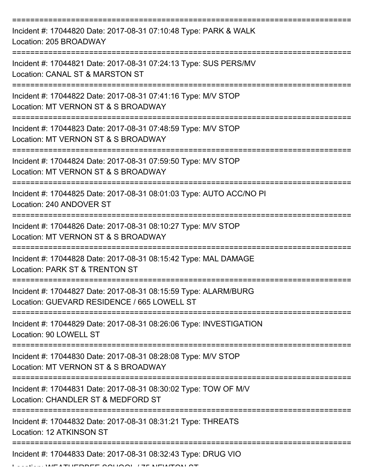| Incident #: 17044820 Date: 2017-08-31 07:10:48 Type: PARK & WALK<br>Location: 205 BROADWAY                     |
|----------------------------------------------------------------------------------------------------------------|
| Incident #: 17044821 Date: 2017-08-31 07:24:13 Type: SUS PERS/MV<br>Location: CANAL ST & MARSTON ST            |
| Incident #: 17044822 Date: 2017-08-31 07:41:16 Type: M/V STOP<br>Location: MT VERNON ST & S BROADWAY           |
| Incident #: 17044823 Date: 2017-08-31 07:48:59 Type: M/V STOP<br>Location: MT VERNON ST & S BROADWAY           |
| Incident #: 17044824 Date: 2017-08-31 07:59:50 Type: M/V STOP<br>Location: MT VERNON ST & S BROADWAY           |
| Incident #: 17044825 Date: 2017-08-31 08:01:03 Type: AUTO ACC/NO PI<br>Location: 240 ANDOVER ST                |
| Incident #: 17044826 Date: 2017-08-31 08:10:27 Type: M/V STOP<br>Location: MT VERNON ST & S BROADWAY           |
| Incident #: 17044828 Date: 2017-08-31 08:15:42 Type: MAL DAMAGE<br>Location: PARK ST & TRENTON ST              |
| Incident #: 17044827 Date: 2017-08-31 08:15:59 Type: ALARM/BURG<br>Location: GUEVARD RESIDENCE / 665 LOWELL ST |
| Incident #: 17044829 Date: 2017-08-31 08:26:06 Type: INVESTIGATION<br>Location: 90 LOWELL ST                   |
| Incident #: 17044830 Date: 2017-08-31 08:28:08 Type: M/V STOP<br>Location: MT VERNON ST & S BROADWAY           |
| Incident #: 17044831 Date: 2017-08-31 08:30:02 Type: TOW OF M/V<br>Location: CHANDLER ST & MEDFORD ST          |
| Incident #: 17044832 Date: 2017-08-31 08:31:21 Type: THREATS<br>Location: 12 ATKINSON ST                       |
| Incident #: 17044833 Date: 2017-08-31 08:32:43 Type: DRUG VIO                                                  |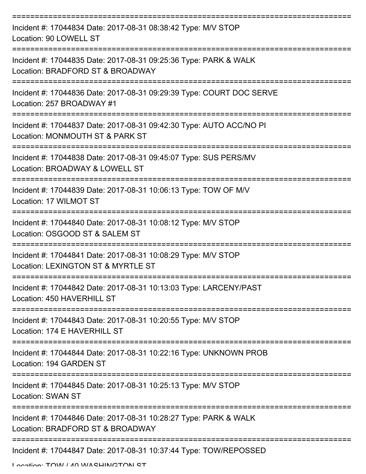| Incident #: 17044834 Date: 2017-08-31 08:38:42 Type: M/V STOP<br>Location: 90 LOWELL ST                |
|--------------------------------------------------------------------------------------------------------|
| Incident #: 17044835 Date: 2017-08-31 09:25:36 Type: PARK & WALK<br>Location: BRADFORD ST & BROADWAY   |
| Incident #: 17044836 Date: 2017-08-31 09:29:39 Type: COURT DOC SERVE<br>Location: 257 BROADWAY #1      |
| Incident #: 17044837 Date: 2017-08-31 09:42:30 Type: AUTO ACC/NO PI<br>Location: MONMOUTH ST & PARK ST |
| Incident #: 17044838 Date: 2017-08-31 09:45:07 Type: SUS PERS/MV<br>Location: BROADWAY & LOWELL ST     |
| Incident #: 17044839 Date: 2017-08-31 10:06:13 Type: TOW OF M/V<br>Location: 17 WILMOT ST              |
| Incident #: 17044840 Date: 2017-08-31 10:08:12 Type: M/V STOP<br>Location: OSGOOD ST & SALEM ST        |
| Incident #: 17044841 Date: 2017-08-31 10:08:29 Type: M/V STOP<br>Location: LEXINGTON ST & MYRTLE ST    |
| Incident #: 17044842 Date: 2017-08-31 10:13:03 Type: LARCENY/PAST<br>Location: 450 HAVERHILL ST        |
| Incident #: 17044843 Date: 2017-08-31 10:20:55 Type: M/V STOP<br>Location: 174 E HAVERHILL ST          |
| Incident #: 17044844 Date: 2017-08-31 10:22:16 Type: UNKNOWN PROB<br>Location: 194 GARDEN ST           |
| Incident #: 17044845 Date: 2017-08-31 10:25:13 Type: M/V STOP<br><b>Location: SWAN ST</b>              |
| Incident #: 17044846 Date: 2017-08-31 10:28:27 Type: PARK & WALK<br>Location: BRADFORD ST & BROADWAY   |
| Incident #: 17044847 Date: 2017-08-31 10:37:44 Type: TOW/REPOSSED                                      |

Location: TOW / 40 WASHINGTON ST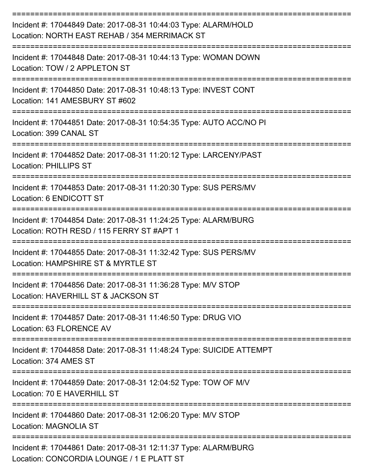| Incident #: 17044849 Date: 2017-08-31 10:44:03 Type: ALARM/HOLD<br>Location: NORTH EAST REHAB / 354 MERRIMACK ST |
|------------------------------------------------------------------------------------------------------------------|
| Incident #: 17044848 Date: 2017-08-31 10:44:13 Type: WOMAN DOWN<br>Location: TOW / 2 APPLETON ST                 |
| Incident #: 17044850 Date: 2017-08-31 10:48:13 Type: INVEST CONT<br>Location: 141 AMESBURY ST #602               |
| Incident #: 17044851 Date: 2017-08-31 10:54:35 Type: AUTO ACC/NO PI<br>Location: 399 CANAL ST                    |
| Incident #: 17044852 Date: 2017-08-31 11:20:12 Type: LARCENY/PAST<br><b>Location: PHILLIPS ST</b>                |
| Incident #: 17044853 Date: 2017-08-31 11:20:30 Type: SUS PERS/MV<br>Location: 6 ENDICOTT ST                      |
| Incident #: 17044854 Date: 2017-08-31 11:24:25 Type: ALARM/BURG<br>Location: ROTH RESD / 115 FERRY ST #APT 1     |
| Incident #: 17044855 Date: 2017-08-31 11:32:42 Type: SUS PERS/MV<br>Location: HAMPSHIRE ST & MYRTLE ST           |
| Incident #: 17044856 Date: 2017-08-31 11:36:28 Type: M/V STOP<br>Location: HAVERHILL ST & JACKSON ST             |
| Incident #: 17044857 Date: 2017-08-31 11:46:50 Type: DRUG VIO<br>Location: 63 FLORENCE AV                        |
| Incident #: 17044858 Date: 2017-08-31 11:48:24 Type: SUICIDE ATTEMPT<br>Location: 374 AMES ST                    |
| Incident #: 17044859 Date: 2017-08-31 12:04:52 Type: TOW OF M/V<br>Location: 70 E HAVERHILL ST                   |
| Incident #: 17044860 Date: 2017-08-31 12:06:20 Type: M/V STOP<br><b>Location: MAGNOLIA ST</b>                    |
| Incident #: 17044861 Date: 2017-08-31 12:11:37 Type: ALARM/BURG<br>Location: CONCORDIA LOUNGE / 1 E PLATT ST     |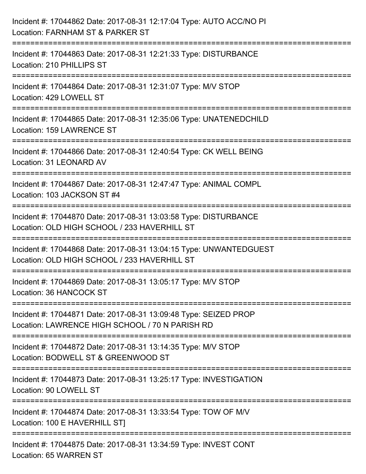| Incident #: 17044862 Date: 2017-08-31 12:17:04 Type: AUTO ACC/NO PI<br>Location: FARNHAM ST & PARKER ST                         |
|---------------------------------------------------------------------------------------------------------------------------------|
| :=========================<br>Incident #: 17044863 Date: 2017-08-31 12:21:33 Type: DISTURBANCE<br>Location: 210 PHILLIPS ST     |
| Incident #: 17044864 Date: 2017-08-31 12:31:07 Type: M/V STOP<br>Location: 429 LOWELL ST<br>=================================== |
| Incident #: 17044865 Date: 2017-08-31 12:35:06 Type: UNATENEDCHILD<br>Location: 159 LAWRENCE ST                                 |
| Incident #: 17044866 Date: 2017-08-31 12:40:54 Type: CK WELL BEING<br>Location: 31 LEONARD AV<br>============================== |
| Incident #: 17044867 Date: 2017-08-31 12:47:47 Type: ANIMAL COMPL<br>Location: 103 JACKSON ST #4                                |
| Incident #: 17044870 Date: 2017-08-31 13:03:58 Type: DISTURBANCE<br>Location: OLD HIGH SCHOOL / 233 HAVERHILL ST                |
| Incident #: 17044868 Date: 2017-08-31 13:04:15 Type: UNWANTEDGUEST<br>Location: OLD HIGH SCHOOL / 233 HAVERHILL ST              |
| Incident #: 17044869 Date: 2017-08-31 13:05:17 Type: M/V STOP<br>Location: 36 HANCOCK ST                                        |
| Incident #: 17044871 Date: 2017-08-31 13:09:48 Type: SEIZED PROP<br>Location: LAWRENCE HIGH SCHOOL / 70 N PARISH RD             |
| Incident #: 17044872 Date: 2017-08-31 13:14:35 Type: M/V STOP<br>Location: BODWELL ST & GREENWOOD ST                            |
| Incident #: 17044873 Date: 2017-08-31 13:25:17 Type: INVESTIGATION<br>Location: 90 LOWELL ST                                    |
| Incident #: 17044874 Date: 2017-08-31 13:33:54 Type: TOW OF M/V<br>Location: 100 E HAVERHILL ST]                                |
| Incident #: 17044875 Date: 2017-08-31 13:34:59 Type: INVEST CONT<br>Location: 65 WARREN ST                                      |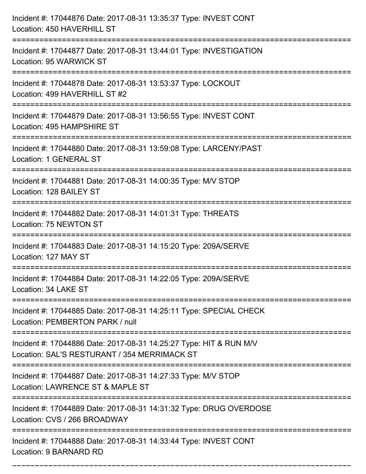| Incident #: 17044876 Date: 2017-08-31 13:35:37 Type: INVEST CONT<br>Location: 450 HAVERHILL ST                                                           |
|----------------------------------------------------------------------------------------------------------------------------------------------------------|
| :=====================<br>Incident #: 17044877 Date: 2017-08-31 13:44:01 Type: INVESTIGATION<br>Location: 95 WARWICK ST                                  |
| Incident #: 17044878 Date: 2017-08-31 13:53:37 Type: LOCKOUT<br>Location: 499 HAVERHILL ST #2<br>===========================                             |
| Incident #: 17044879 Date: 2017-08-31 13:56:55 Type: INVEST CONT<br>Location: 495 HAMPSHIRE ST                                                           |
| Incident #: 17044880 Date: 2017-08-31 13:59:08 Type: LARCENY/PAST<br><b>Location: 1 GENERAL ST</b>                                                       |
| Incident #: 17044881 Date: 2017-08-31 14:00:35 Type: M/V STOP<br>Location: 128 BAILEY ST                                                                 |
| Incident #: 17044882 Date: 2017-08-31 14:01:31 Type: THREATS<br>Location: 75 NEWTON ST<br>:===================================                           |
| Incident #: 17044883 Date: 2017-08-31 14:15:20 Type: 209A/SERVE<br>Location: 127 MAY ST                                                                  |
| Incident #: 17044884 Date: 2017-08-31 14:22:05 Type: 209A/SERVE<br>Location: 34 LAKE ST                                                                  |
| Incident #: 17044885 Date: 2017-08-31 14:25:11 Type: SPECIAL CHECK<br>Location: PEMBERTON PARK / null                                                    |
| Incident #: 17044886 Date: 2017-08-31 14:25:27 Type: HIT & RUN M/V<br>Location: SAL'S RESTURANT / 354 MERRIMACK ST<br>---------------------------------- |
| Incident #: 17044887 Date: 2017-08-31 14:27:33 Type: M/V STOP<br>Location: LAWRENCE ST & MAPLE ST                                                        |
| Incident #: 17044889 Date: 2017-08-31 14:31:32 Type: DRUG OVERDOSE<br>Location: CVS / 266 BROADWAY                                                       |
| Incident #: 17044888 Date: 2017-08-31 14:33:44 Type: INVEST CONT<br>Location: 9 BARNARD RD                                                               |

===========================================================================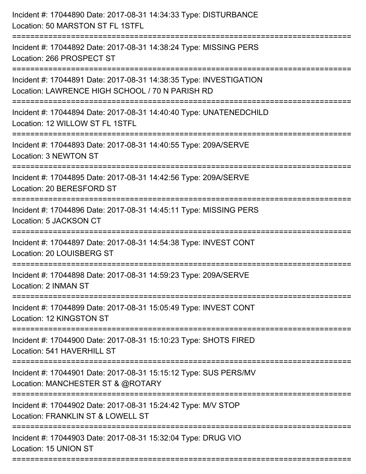| Incident #: 17044890 Date: 2017-08-31 14:34:33 Type: DISTURBANCE<br>Location: 50 MARSTON ST FL 1STFL                  |
|-----------------------------------------------------------------------------------------------------------------------|
| Incident #: 17044892 Date: 2017-08-31 14:38:24 Type: MISSING PERS<br>Location: 266 PROSPECT ST                        |
| Incident #: 17044891 Date: 2017-08-31 14:38:35 Type: INVESTIGATION<br>Location: LAWRENCE HIGH SCHOOL / 70 N PARISH RD |
| Incident #: 17044894 Date: 2017-08-31 14:40:40 Type: UNATENEDCHILD<br>Location: 12 WILLOW ST FL 1STFL                 |
| Incident #: 17044893 Date: 2017-08-31 14:40:55 Type: 209A/SERVE<br>Location: 3 NEWTON ST                              |
| Incident #: 17044895 Date: 2017-08-31 14:42:56 Type: 209A/SERVE<br>Location: 20 BERESFORD ST                          |
| Incident #: 17044896 Date: 2017-08-31 14:45:11 Type: MISSING PERS<br>Location: 5 JACKSON CT                           |
| Incident #: 17044897 Date: 2017-08-31 14:54:38 Type: INVEST CONT<br>Location: 20 LOUISBERG ST                         |
| Incident #: 17044898 Date: 2017-08-31 14:59:23 Type: 209A/SERVE<br>Location: 2 INMAN ST                               |
| Incident #: 17044899 Date: 2017-08-31 15:05:49 Type: INVEST CONT<br>Location: 12 KINGSTON ST                          |
| Incident #: 17044900 Date: 2017-08-31 15:10:23 Type: SHOTS FIRED<br>Location: 541 HAVERHILL ST                        |
| Incident #: 17044901 Date: 2017-08-31 15:15:12 Type: SUS PERS/MV<br>Location: MANCHESTER ST & @ROTARY                 |
| Incident #: 17044902 Date: 2017-08-31 15:24:42 Type: M/V STOP<br>Location: FRANKLIN ST & LOWELL ST                    |
| Incident #: 17044903 Date: 2017-08-31 15:32:04 Type: DRUG VIO<br>Location: 15 UNION ST                                |
|                                                                                                                       |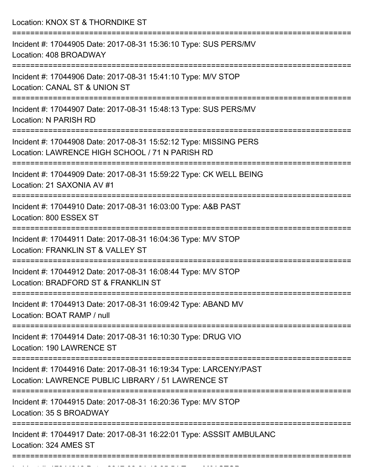Location: KNOX ST & THORNDIKE ST =========================================================================== Incident #: 17044905 Date: 2017-08-31 15:36:10 Type: SUS PERS/MV Location: 408 BROADWAY =========================================================================== Incident #: 17044906 Date: 2017-08-31 15:41:10 Type: M/V STOP Location: CANAL ST & UNION ST =========================================================================== Incident #: 17044907 Date: 2017-08-31 15:48:13 Type: SUS PERS/MV Location: N PARISH RD =========================================================================== Incident #: 17044908 Date: 2017-08-31 15:52:12 Type: MISSING PERS Location: LAWRENCE HIGH SCHOOL / 71 N PARISH RD =========================================================================== Incident #: 17044909 Date: 2017-08-31 15:59:22 Type: CK WELL BEING Location: 21 SAXONIA AV #1 =========================================================================== Incident #: 17044910 Date: 2017-08-31 16:03:00 Type: A&B PAST Location: 800 ESSEX ST =========================================================================== Incident #: 17044911 Date: 2017-08-31 16:04:36 Type: M/V STOP Location: FRANKLIN ST & VALLEY ST =========================================================================== Incident #: 17044912 Date: 2017-08-31 16:08:44 Type: M/V STOP Location: BRADFORD ST & FRANKLIN ST =========================================================================== Incident #: 17044913 Date: 2017-08-31 16:09:42 Type: ABAND MV Location: BOAT RAMP / null =========================================================================== Incident #: 17044914 Date: 2017-08-31 16:10:30 Type: DRUG VIO Location: 190 LAWRENCE ST =========================================================================== Incident #: 17044916 Date: 2017-08-31 16:19:34 Type: LARCENY/PAST Location: LAWRENCE PUBLIC LIBRARY / 51 LAWRENCE ST =========================================================================== Incident #: 17044915 Date: 2017-08-31 16:20:36 Type: M/V STOP Location: 35 S BROADWAY =========================================================================== Incident #: 17044917 Date: 2017-08-31 16:22:01 Type: ASSSIT AMBULANC Location: 324 AMES ST ===========================================================================

Incident #: 1704491818 Date: 2017 08 31 16:35:54 Type: M/V STOP: 1704561<br>.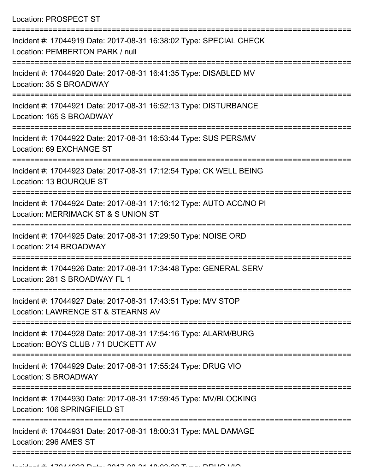Location: PROSPECT ST

| Incident #: 17044919 Date: 2017-08-31 16:38:02 Type: SPECIAL CHECK<br>Location: PEMBERTON PARK / null                        |
|------------------------------------------------------------------------------------------------------------------------------|
| Incident #: 17044920 Date: 2017-08-31 16:41:35 Type: DISABLED MV<br>Location: 35 S BROADWAY                                  |
| Incident #: 17044921 Date: 2017-08-31 16:52:13 Type: DISTURBANCE<br>Location: 165 S BROADWAY                                 |
| Incident #: 17044922 Date: 2017-08-31 16:53:44 Type: SUS PERS/MV<br>Location: 69 EXCHANGE ST                                 |
| Incident #: 17044923 Date: 2017-08-31 17:12:54 Type: CK WELL BEING<br>Location: 13 BOURQUE ST                                |
| Incident #: 17044924 Date: 2017-08-31 17:16:12 Type: AUTO ACC/NO PI<br>Location: MERRIMACK ST & S UNION ST<br>-------------- |
| Incident #: 17044925 Date: 2017-08-31 17:29:50 Type: NOISE ORD<br>Location: 214 BROADWAY                                     |
| Incident #: 17044926 Date: 2017-08-31 17:34:48 Type: GENERAL SERV<br>Location: 281 S BROADWAY FL 1                           |
| Incident #: 17044927 Date: 2017-08-31 17:43:51 Type: M/V STOP<br>Location: LAWRENCE ST & STEARNS AV                          |
| Incident #: 17044928 Date: 2017-08-31 17:54:16 Type: ALARM/BURG<br>Location: BOYS CLUB / 71 DUCKETT AV                       |
| Incident #: 17044929 Date: 2017-08-31 17:55:24 Type: DRUG VIO<br>Location: S BROADWAY                                        |
| Incident #: 17044930 Date: 2017-08-31 17:59:45 Type: MV/BLOCKING<br>Location: 106 SPRINGFIELD ST                             |
| Incident #: 17044931 Date: 2017-08-31 18:00:31 Type: MAL DAMAGE<br>Location: 296 AMES ST                                     |
|                                                                                                                              |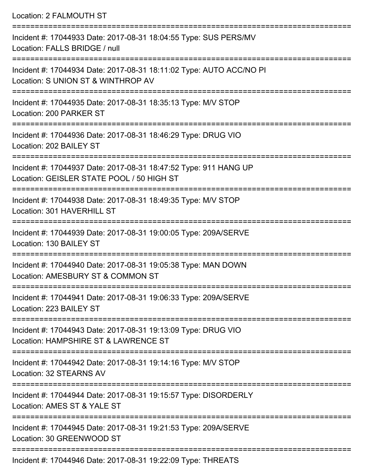Location: 2 FALMOUTH ST =========================================================================== Incident #: 17044933 Date: 2017-08-31 18:04:55 Type: SUS PERS/MV Location: FALLS BRIDGE / null =========================================================================== Incident #: 17044934 Date: 2017-08-31 18:11:02 Type: AUTO ACC/NO PI Location: S UNION ST & WINTHROP AV =========================================================================== Incident #: 17044935 Date: 2017-08-31 18:35:13 Type: M/V STOP Location: 200 PARKER ST =========================================================================== Incident #: 17044936 Date: 2017-08-31 18:46:29 Type: DRUG VIO Location: 202 BAILEY ST =========================================================================== Incident #: 17044937 Date: 2017-08-31 18:47:52 Type: 911 HANG UP Location: GEISLER STATE POOL / 50 HIGH ST =========================================================================== Incident #: 17044938 Date: 2017-08-31 18:49:35 Type: M/V STOP Location: 301 HAVERHILL ST =========================================================================== Incident #: 17044939 Date: 2017-08-31 19:00:05 Type: 209A/SERVE Location: 130 BAILEY ST =========================================================================== Incident #: 17044940 Date: 2017-08-31 19:05:38 Type: MAN DOWN Location: AMESBURY ST & COMMON ST =========================================================================== Incident #: 17044941 Date: 2017-08-31 19:06:33 Type: 209A/SERVE Location: 223 BAILEY ST =========================================================================== Incident #: 17044943 Date: 2017-08-31 19:13:09 Type: DRUG VIO Location: HAMPSHIRE ST & LAWRENCE ST =========================================================================== Incident #: 17044942 Date: 2017-08-31 19:14:16 Type: M/V STOP Location: 32 STEARNS AV =========================================================================== Incident #: 17044944 Date: 2017-08-31 19:15:57 Type: DISORDERLY Location: AMES ST & YALE ST =========================================================================== Incident #: 17044945 Date: 2017-08-31 19:21:53 Type: 209A/SERVE Location: 30 GREENWOOD ST ===========================================================================

Incident #: 17044946 Date: 2017-08-31 19:22:09 Type: THREATS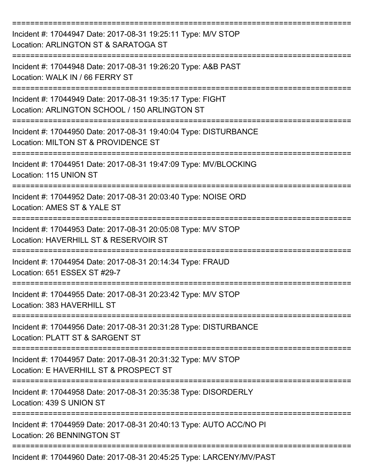| Incident #: 17044947 Date: 2017-08-31 19:25:11 Type: M/V STOP<br>Location: ARLINGTON ST & SARATOGA ST       |
|-------------------------------------------------------------------------------------------------------------|
| Incident #: 17044948 Date: 2017-08-31 19:26:20 Type: A&B PAST<br>Location: WALK IN / 66 FERRY ST            |
| Incident #: 17044949 Date: 2017-08-31 19:35:17 Type: FIGHT<br>Location: ARLINGTON SCHOOL / 150 ARLINGTON ST |
| Incident #: 17044950 Date: 2017-08-31 19:40:04 Type: DISTURBANCE<br>Location: MILTON ST & PROVIDENCE ST     |
| Incident #: 17044951 Date: 2017-08-31 19:47:09 Type: MV/BLOCKING<br>Location: 115 UNION ST                  |
| Incident #: 17044952 Date: 2017-08-31 20:03:40 Type: NOISE ORD<br>Location: AMES ST & YALE ST               |
| Incident #: 17044953 Date: 2017-08-31 20:05:08 Type: M/V STOP<br>Location: HAVERHILL ST & RESERVOIR ST      |
| Incident #: 17044954 Date: 2017-08-31 20:14:34 Type: FRAUD<br>Location: 651 ESSEX ST #29-7                  |
| Incident #: 17044955 Date: 2017-08-31 20:23:42 Type: M/V STOP<br>Location: 383 HAVERHILL ST                 |
| Incident #: 17044956 Date: 2017-08-31 20:31:28 Type: DISTURBANCE<br>Location: PLATT ST & SARGENT ST         |
| Incident #: 17044957 Date: 2017-08-31 20:31:32 Type: M/V STOP<br>Location: E HAVERHILL ST & PROSPECT ST     |
| Incident #: 17044958 Date: 2017-08-31 20:35:38 Type: DISORDERLY<br>Location: 439 S UNION ST                 |
| Incident #: 17044959 Date: 2017-08-31 20:40:13 Type: AUTO ACC/NO PI<br>Location: 26 BENNINGTON ST           |
| Incident #: 17044960 Date: 2017-08-31 20:45:25 Type: LARCENY/MV/PAST                                        |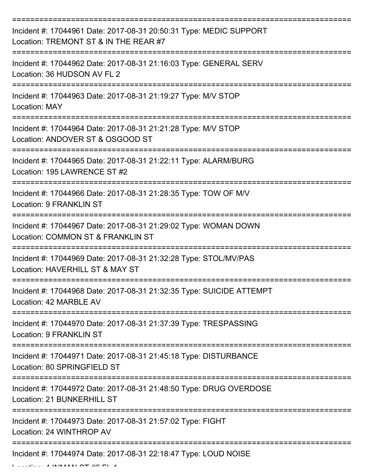| Incident #: 17044961 Date: 2017-08-31 20:50:31 Type: MEDIC SUPPORT<br>Location: TREMONT ST & IN THE REAR #7 |
|-------------------------------------------------------------------------------------------------------------|
| Incident #: 17044962 Date: 2017-08-31 21:16:03 Type: GENERAL SERV<br>Location: 36 HUDSON AV FL 2            |
| Incident #: 17044963 Date: 2017-08-31 21:19:27 Type: M/V STOP<br><b>Location: MAY</b>                       |
| Incident #: 17044964 Date: 2017-08-31 21:21:28 Type: M/V STOP<br>Location: ANDOVER ST & OSGOOD ST           |
| Incident #: 17044965 Date: 2017-08-31 21:22:11 Type: ALARM/BURG<br>Location: 195 LAWRENCE ST #2             |
| Incident #: 17044966 Date: 2017-08-31 21:28:35 Type: TOW OF M/V<br><b>Location: 9 FRANKLIN ST</b>           |
| Incident #: 17044967 Date: 2017-08-31 21:29:02 Type: WOMAN DOWN<br>Location: COMMON ST & FRANKLIN ST        |
| Incident #: 17044969 Date: 2017-08-31 21:32:28 Type: STOL/MV/PAS<br>Location: HAVERHILL ST & MAY ST         |
| Incident #: 17044968 Date: 2017-08-31 21:32:35 Type: SUICIDE ATTEMPT<br>Location: 42 MARBLE AV              |
| Incident #: 17044970 Date: 2017-08-31 21:37:39 Type: TRESPASSING<br><b>Location: 9 FRANKLIN ST</b>          |
| Incident #: 17044971 Date: 2017-08-31 21:45:18 Type: DISTURBANCE<br>Location: 80 SPRINGFIELD ST             |
| Incident #: 17044972 Date: 2017-08-31 21:48:50 Type: DRUG OVERDOSE<br>Location: 21 BUNKERHILL ST            |
| Incident #: 17044973 Date: 2017-08-31 21:57:02 Type: FIGHT<br>Location: 24 WINTHROP AV                      |
| Incident #: 17044974 Date: 2017-08-31 22:18:47 Type: LOUD NOISE                                             |

 $L = L$  .  $L = 4$  INMANN  $\Lambda$  T  $\Lambda$  FL  $\Lambda$